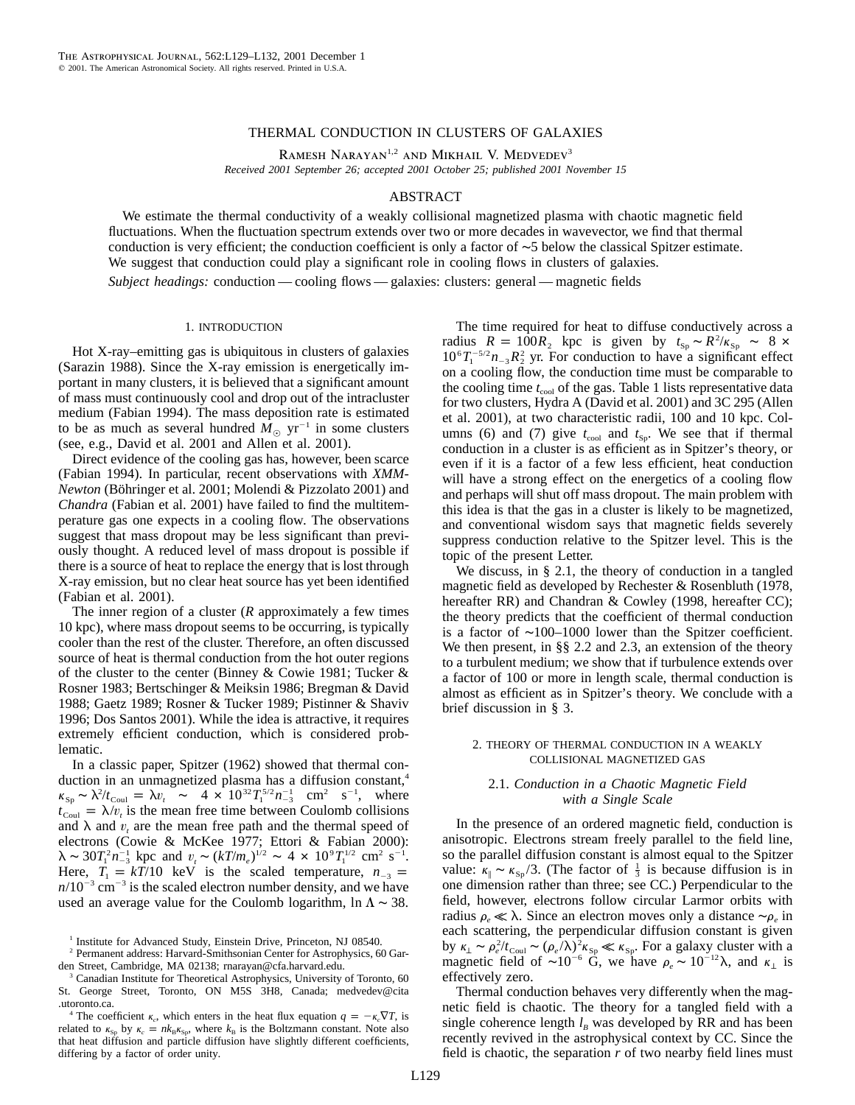# THERMAL CONDUCTION IN CLUSTERS OF GALAXIES

RAMESH NARAYAN<sup>1,2</sup> AND MIKHAIL V. MEDVEDEV<sup>3</sup> *Received 2001 September 26; accepted 2001 October 25; published 2001 November 15*

### ABSTRACT

We estimate the thermal conductivity of a weakly collisional magnetized plasma with chaotic magnetic field fluctuations. When the fluctuation spectrum extends over two or more decades in wavevector, we find that thermal conduction is very efficient; the conduction coefficient is only a factor of ∼5 below the classical Spitzer estimate. We suggest that conduction could play a significant role in cooling flows in clusters of galaxies.

*Subject headings:* conduction — cooling flows — galaxies: clusters: general — magnetic fields

#### 1. INTRODUCTION

Hot X-ray–emitting gas is ubiquitous in clusters of galaxies (Sarazin 1988). Since the X-ray emission is energetically important in many clusters, it is believed that a significant amount of mass must continuously cool and drop out of the intracluster medium (Fabian 1994). The mass deposition rate is estimated to be as much as several hundred  $M_{\odot}$  yr<sup>-1</sup> in some clusters (see, e.g., David et al. 2001 and Allen et al. 2001).

Direct evidence of the cooling gas has, however, been scarce (Fabian 1994). In particular, recent observations with *XMM-Newton* (Böhringer et al. 2001; Molendi & Pizzolato 2001) and *Chandra* (Fabian et al. 2001) have failed to find the multitemperature gas one expects in a cooling flow. The observations suggest that mass dropout may be less significant than previously thought. A reduced level of mass dropout is possible if there is a source of heat to replace the energy that is lost through X-ray emission, but no clear heat source has yet been identified (Fabian et al. 2001).

The inner region of a cluster (*R* approximately a few times 10 kpc), where mass dropout seems to be occurring, is typically cooler than the rest of the cluster. Therefore, an often discussed source of heat is thermal conduction from the hot outer regions of the cluster to the center (Binney & Cowie 1981; Tucker & Rosner 1983; Bertschinger & Meiksin 1986; Bregman & David 1988; Gaetz 1989; Rosner & Tucker 1989; Pistinner & Shaviv 1996; Dos Santos 2001). While the idea is attractive, it requires extremely efficient conduction, which is considered problematic.

In a classic paper, Spitzer (1962) showed that thermal conduction in an unmagnetized plasma has a diffusion constant,<sup>4</sup>  $\kappa_{\rm Sp} \sim \frac{\lambda^2}{t_{\rm Coul}} = \lambda v_t \sim 4 \times 10^{32} T_1^{5/2} n_{-3}^{-1} \text{ cm}^2 \text{ s}^{-1}$ , where  $t_{\text{Coul}} = \lambda/v_t$  is the mean free time between Coulomb collisions and  $\lambda$  and  $v_t$  are the mean free path and the thermal speed of electrons (Cowie & McKee 1977; Ettori & Fabian 2000):  $\lambda \sim 30 T_1^2 n_{-3}^{-1}$  kpc and  $v_t \sim (kT/m_e)^{1/2} \sim 4 \times 10^9 T_1^{1/2}$  cm<sup>2</sup> s<sup>-1</sup>. Here,  $T_1 = kT/10$  keV is the scaled temperature,  $n_{-3} =$  $n/10^{-3}$  cm<sup>-3</sup> is the scaled electron number density, and we have used an average value for the Coulomb logarithm, ln  $\Lambda \sim 38$ .

The time required for heat to diffuse conductively across a radius  $R = 100R_2$  kpc is given by  $t_{\text{Sp}} \sim R^2 / \kappa_{\text{Sp}} \sim 8 \times 10^{-10}$  $10^6T_1^{-5/2}n_{-3}R_2^2$  yr. For conduction to have a significant effect on a cooling flow, the conduction time must be comparable to the cooling time  $t_{\rm cool}$  of the gas. Table 1 lists representative data for two clusters, Hydra A (David et al. 2001) and 3C 295 (Allen et al. 2001), at two characteristic radii, 100 and 10 kpc. Columns (6) and (7) give  $t_{\text{cool}}$  and  $t_{\text{Sp}}$ . We see that if thermal conduction in a cluster is as efficient as in Spitzer's theory, or even if it is a factor of a few less efficient, heat conduction will have a strong effect on the energetics of a cooling flow and perhaps will shut off mass dropout. The main problem with this idea is that the gas in a cluster is likely to be magnetized, and conventional wisdom says that magnetic fields severely suppress conduction relative to the Spitzer level. This is the topic of the present Letter.

We discuss, in § 2.1, the theory of conduction in a tangled magnetic field as developed by Rechester & Rosenbluth (1978, hereafter RR) and Chandran & Cowley (1998, hereafter CC); the theory predicts that the coefficient of thermal conduction is a factor of ∼100–1000 lower than the Spitzer coefficient. We then present, in §§ 2.2 and 2.3, an extension of the theory to a turbulent medium; we show that if turbulence extends over a factor of 100 or more in length scale, thermal conduction is almost as efficient as in Spitzer's theory. We conclude with a brief discussion in § 3.

# 2. THEORY OF THERMAL CONDUCTION IN A WEAKLY COLLISIONAL MAGNETIZED GAS

# 2.1. *Conduction in a Chaotic Magnetic Field with a Single Scale*

In the presence of an ordered magnetic field, conduction is anisotropic. Electrons stream freely parallel to the field line, so the parallel diffusion constant is almost equal to the Spitzer value:  $\kappa_{\parallel} \sim \kappa_{\rm Sp}/3$ . (The factor of  $\frac{1}{3}$  is because diffusion is in one dimension rather than three; see CC.) Perpendicular to the field, however, electrons follow circular Larmor orbits with radius  $ρ<sub>e</sub>$  k λ. Since an electron moves only a distance ∼ρ<sub>*e*</sub> in each scattering, the perpendicular diffusion constant is given by  $\kappa_{\perp} \sim \rho_e^2 / t_{\text{Coul}} \sim (\rho_e / \lambda)^2 \kappa_{\text{Sp}} \ll \kappa_{\text{Sp}}$ . For a galaxy cluster with a magnetic field of ~10<sup>-6</sup> G, we have  $\rho_e \sim 10^{-12} \lambda$ , and  $\kappa_{\perp}$  is effectively zero.

Thermal conduction behaves very differently when the magnetic field is chaotic. The theory for a tangled field with a single coherence length  $l_{B}$  was developed by RR and has been recently revived in the astrophysical context by CC. Since the field is chaotic, the separation *r* of two nearby field lines must

<sup>&</sup>lt;sup>1</sup> Institute for Advanced Study, Einstein Drive, Princeton, NJ 08540.

<sup>2</sup> Permanent address: Harvard-Smithsonian Center for Astrophysics, 60 Garden Street, Cambridge, MA 02138; rnarayan@cfa.harvard.edu.

Canadian Institute for Theoretical Astrophysics, University of Toronto, 60 St. George Street, Toronto, ON M5S 3H8, Canada; medvedev@cita .utoronto.ca.

<sup>&</sup>lt;sup>4</sup> The coefficient  $\kappa_c$ , which enters in the heat flux equation  $q = -\kappa_c \nabla T$ , is related to  $\kappa_{\rm Sp}$  by  $\kappa_c = n k_{\rm B} \kappa_{\rm Sp}$ , where  $k_{\rm B}$  is the Boltzmann constant. Note also that heat diffusion and particle diffusion have slightly different coefficients, differing by a factor of order unity.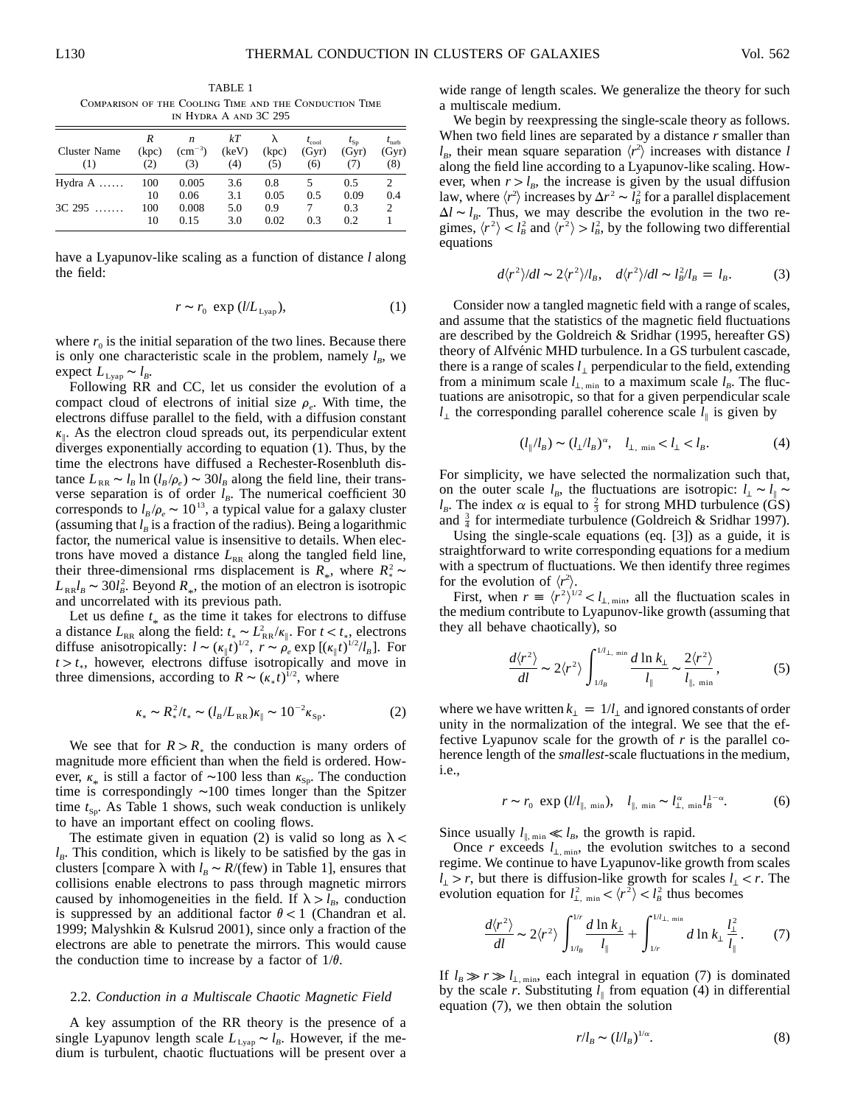TABLE 1 Comparison of the Cooling Time and the Conduction Time in Hydra A and 3C 295

| Cluster Name<br>(1) | R<br>(kpc)<br>(2) | n<br>$\rm (cm^{-3})$<br>(3) | kТ<br>(keV)<br>(4) | (kpc)<br>(5)        | $t_{\rm cool}$<br>(Gyr)<br>(6) | $I_{\text{Sp}}$<br>(Gyr)<br>(7) | $I_{\text{turb}}$<br>(Gyr)<br>(8) |
|---------------------|-------------------|-----------------------------|--------------------|---------------------|--------------------------------|---------------------------------|-----------------------------------|
| Hydra $A$           | 100               | 0.005                       | 3.6                | 0.8                 |                                | 0.5                             |                                   |
| $3C$ 295            | 10<br>100<br>10   | 0.06<br>0.008<br>0.15       | 3.1<br>5.0<br>3.0  | 0.05<br>0.9<br>0.02 | 0.5<br>0.3                     | 0.09<br>0.3<br>0.2              | 0.4<br>2                          |

have a Lyapunov-like scaling as a function of distance *l* along the field:

$$
r \sim r_0 \exp(l/L_{Lyap}), \tag{1}
$$

where  $r_0$  is the initial separation of the two lines. Because there is only one characteristic scale in the problem, namely  $l_B$ , we expect  $L_{Lyap} \sim l_B$ .

Following RR and CC, let us consider the evolution of a compact cloud of electrons of initial size  $\rho_e$ . With time, the electrons diffuse parallel to the field, with a diffusion constant  $k_{\parallel}$ . As the electron cloud spreads out, its perpendicular extent diverges exponentially according to equation (1). Thus, by the time the electrons have diffused a Rechester-Rosenbluth distance  $L_{RR} \sim l_B \ln (l_B / \rho_e) \sim 30 l_B$  along the field line, their transverse separation is of order  $l_B$ . The numerical coefficient 30 corresponds to  $l_B/\rho_e \sim 10^{13}$ , a typical value for a galaxy cluster (assuming that  $l_B$  is a fraction of the radius). Being a logarithmic factor, the numerical value is insensitive to details. When electrons have moved a distance  $L_{RR}$  along the tangled field line, their three-dimensional rms displacement is  $R_*$ , where  $R_*^2 \sim$  $L_{\text{RR}}l_B \sim 30l_B^2$ . Beyond  $R_*$ , the motion of an electron is isotropic and uncorrelated with its previous path.

Let us define  $t_{\ast}$  as the time it takes for electrons to diffuse a distance  $L_{RR}$  along the field:  $t_* \sim L_{RR}^2 / \kappa_{\parallel}$ . For  $t < t_*$ , electrons diffuse anisotropically:  $l \sim (\kappa_{\parallel} t)^{1/2}$ ,  $r \sim \rho_e \exp[(\kappa_{\parallel} t)^{1/2}/l_B]$ . For  $t > t<sub>*</sub>$ , however, electrons diffuse isotropically and move in three dimensions, according to  $R \sim (\kappa_* t)^{1/2}$ , where

$$
\kappa_* \sim R_*^2 / t_* \sim (l_B / L_{RR}) \kappa_{\parallel} \sim 10^{-2} \kappa_{\rm Sp}.
$$
 (2)

We see that for  $R > R_*$  the conduction is many orders of magnitude more efficient than when the field is ordered. However,  $\kappa_*$  is still a factor of ~100 less than  $\kappa_{\rm Sp}$ . The conduction time is correspondingly ∼100 times longer than the Spitzer time  $t_{S_p}$ . As Table 1 shows, such weak conduction is unlikely to have an important effect on cooling flows.

The estimate given in equation (2) is valid so long as  $\lambda$  <  $l<sub>B</sub>$ . This condition, which is likely to be satisfied by the gas in clusters [compare  $\lambda$  with  $l_B \sim R/(few)$  in Table 1], ensures that collisions enable electrons to pass through magnetic mirrors caused by inhomogeneities in the field. If  $\lambda > l_B$ , conduction is suppressed by an additional factor  $\theta < 1$  (Chandran et al. 1999; Malyshkin & Kulsrud 2001), since only a fraction of the electrons are able to penetrate the mirrors. This would cause the conduction time to increase by a factor of  $1/\theta$ .

### 2.2. *Conduction in a Multiscale Chaotic Magnetic Field*

A key assumption of the RR theory is the presence of a single Lyapunov length scale  $L_{Lyap} \sim l_B$ . However, if the medium is turbulent, chaotic fluctuations will be present over a wide range of length scales. We generalize the theory for such a multiscale medium.

We begin by reexpressing the single-scale theory as follows. When two field lines are separated by a distance *r* smaller than  $l_B$ , their mean square separation  $\langle r^2 \rangle$  increases with distance *l* along the field line according to a Lyapunov-like scaling. However, when  $r > l_B$ , the increase is given by the usual diffusion law, where  $\langle r^2 \rangle$  increases by  $\Delta r^2 \sim l_B^2$  for a parallel displacement  $\Delta l \sim l_B$ . Thus, we may describe the evolution in the two regimes,  $\langle r^2 \rangle < l_B^2$  and  $\langle r^2 \rangle > l_B^2$ , by the following two differential equations

$$
d\langle r^2 \rangle / dl \sim 2\langle r^2 \rangle / l_B, \quad d\langle r^2 \rangle / dl \sim l_B^2 / l_B = l_B. \tag{3}
$$

Consider now a tangled magnetic field with a range of scales, and assume that the statistics of the magnetic field fluctuations are described by the Goldreich & Sridhar (1995, hereafter GS) theory of Alfvénic MHD turbulence. In a GS turbulent cascade, there is a range of scales  $l_1$  perpendicular to the field, extending from a minimum scale  $l_{\perp,\text{min}}$  to a maximum scale  $l_B$ . The fluctuations are anisotropic, so that for a given perpendicular scale *l*⊥ the corresponding parallel coherence scale  $l_{\parallel}$  is given by

$$
(l_{\parallel}/l_B) \sim (l_{\perp}/l_B)^{\alpha}, \quad l_{\perp, \text{ min}} < l_{\perp} < l_B. \tag{4}
$$

For simplicity, we have selected the normalization such that, on the outer scale  $l_B$ , the fluctuations are isotropic:  $l_{\perp} \sim l_{\parallel} \sim$  $l_B$ . The index  $\alpha$  is equal to  $\frac{2}{3}$  for strong MHD turbulence (GS) and  $\frac{3}{4}$  for intermediate turbulence (Goldreich & Sridhar 1997).

Using the single-scale equations (eq. [3]) as a guide, it is straightforward to write corresponding equations for a medium with a spectrum of fluctuations. We then identify three regimes for the evolution of  $\langle r^2 \rangle$ .

First, when  $r = \langle r^2 \rangle^{1/2} < l_{\perp, \text{min}}$ , all the fluctuation scales in the medium contribute to Lyapunov-like growth (assuming that they all behave chaotically), so

$$
\frac{d\langle r^2\rangle}{dl} \sim 2\langle r^2\rangle \int_{1/l_B}^{1/l_\perp, \text{ min}} \frac{d \ln k_\perp}{l_\parallel} \sim \frac{2\langle r^2\rangle}{l_{\parallel, \text{ min}}},\tag{5}
$$

where we have written  $k_1 = 1/l_1$  and ignored constants of order unity in the normalization of the integral. We see that the effective Lyapunov scale for the growth of *r* is the parallel coherence length of the *smallest*-scale fluctuations in the medium, i.e.,

$$
r \sim r_0 \exp\left(\frac{l}{l_{\parallel,\min}}\right), \quad l_{\parallel,\min} \sim l_{\perp,\min}^{\alpha} l_B^{1-\alpha}.\tag{6}
$$

Since usually  $l_{\parallel, \text{min}} \ll l_B$ , the growth is rapid.

Once *r* exceeds  $l_{\perp,\text{min}}$ , the evolution switches to a second regime. We continue to have Lyapunov-like growth from scales  $l_1 > r$ , but there is diffusion-like growth for scales  $l_1 < r$ . The evolution equation for  $l_{\perp, \text{min}}^2 < \langle r^2 \rangle < l_B^2$  thus becomes

$$
\frac{d\langle r^2\rangle}{dl} \sim 2\langle r^2\rangle \int_{1/l_B}^{1/r} \frac{d\ln k_\perp}{l_\parallel} + \int_{1/r}^{1/l_\perp, \text{ min}} d\ln k_\perp \frac{l_\perp^2}{l_\parallel}. \tag{7}
$$

If  $l_B \gg r \gg l_{\perp, min}$ , each integral in equation (7) is dominated by the scale *r*. Substituting  $l_{\parallel}$  from equation (4) in differential equation (7), we then obtain the solution

$$
r/l_B \sim (l/l_B)^{1/\alpha}.\tag{8}
$$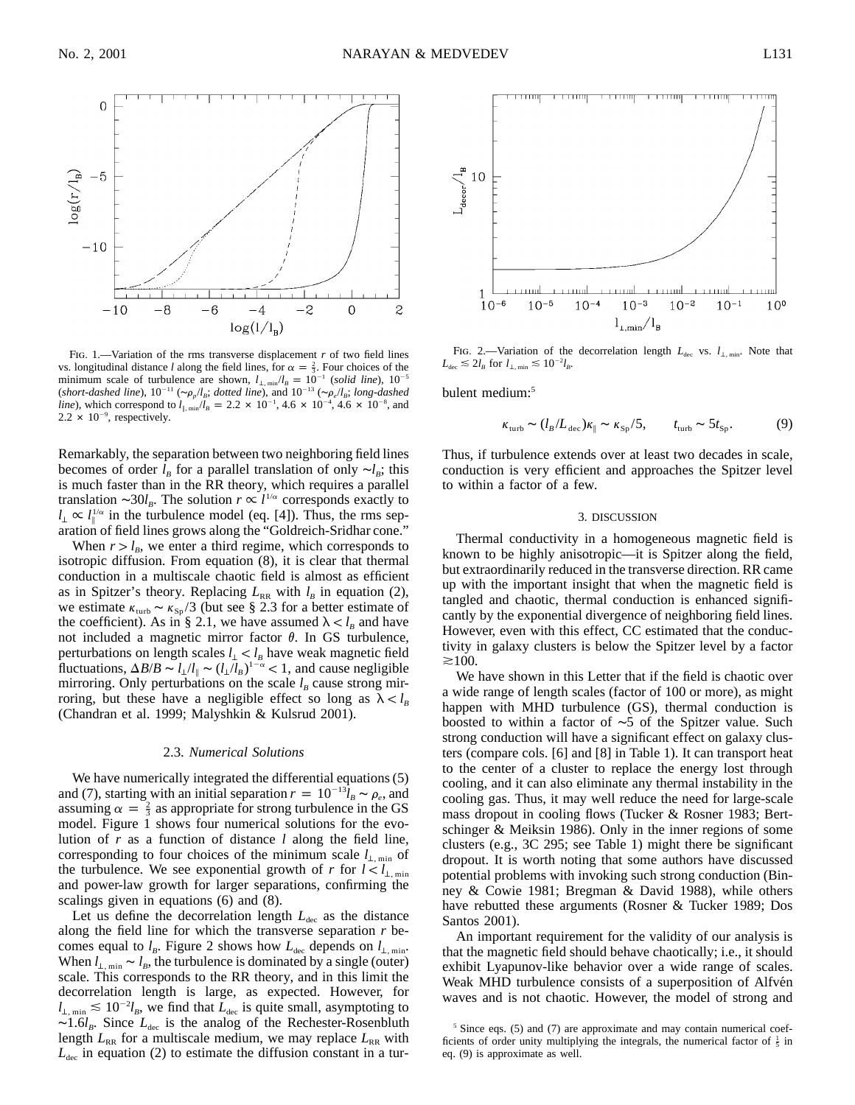

Fig. 1.—Variation of the rms transverse displacement *r* of two field lines vs. longitudinal distance *l* along the field lines, for  $\alpha = \frac{2}{3}$ . Four choices of the minimum scale of turbulence are shown,  $l_{\perp, min}/l_B = 10^{-1}$  (solid line),  $10^{-5}$ (short-dashed line),  $10^{-11}$  ( $\sim \rho_p/l_B$ ; dotted line), and  $10^{-13}$  ( $\sim \rho_e/l_B$ ; long-dashed line), which correspond to  $l_{\parallel,\text{min}}/l_B = 2.2 \times 10^{-1}$ ,  $4.6 \times 10^{-4}$ ,  $4.6 \times 10^{-8}$ , and  $2.2 \times 10^{-9}$ , respectively.

Remarkably, the separation between two neighboring field lines becomes of order  $l_B$  for a parallel translation of only  $\sim l_B$ ; this is much faster than in the RR theory, which requires a parallel translation ∼30*l<sub>B</sub>*. The solution  $r \propto l^{\frac{1}{\alpha}}$  corresponds exactly to  $l_{\perp} \propto l_{\parallel}^{1/\alpha}$  in the turbulence model (eq. [4]). Thus, the rms separation of field lines grows along the "Goldreich-Sridhar cone."

When  $r > l_B$ , we enter a third regime, which corresponds to isotropic diffusion. From equation (8), it is clear that thermal conduction in a multiscale chaotic field is almost as efficient as in Spitzer's theory. Replacing  $L_{RR}$  with  $l_B$  in equation (2), we estimate  $\kappa_{\text{turb}} \sim \kappa_{\text{Sp}}/3$  (but see § 2.3 for a better estimate of the coefficient). As in § 2.1, we have assumed  $\lambda < l_B$  and have not included a magnetic mirror factor  $\theta$ . In GS turbulence, perturbations on length scales  $l_1 < l_B$  have weak magnetic field fluctuations,  $\Delta B/B \sim l_{\perp}/l_{\parallel} \sim (l_{\perp}/l_{B})^{1-\alpha} < 1$ , and cause negligible mirroring. Only perturbations on the scale  $l_B$  cause strong mirroring, but these have a negligible effect so long as  $\lambda < l_B$ (Chandran et al. 1999; Malyshkin & Kulsrud 2001).

### 2.3. *Numerical Solutions*

We have numerically integrated the differential equations (5) and (7), starting with an initial separation  $r = 10^{-13} \hat{l}_B \sim \rho_e$ , and assuming  $\alpha = \frac{2}{3}$  as appropriate for strong turbulence in the GS model. Figure 1 shows four numerical solutions for the evolution of *r* as a function of distance *l* along the field line, corresponding to four choices of the minimum scale  $l_{\perp,\text{min}}$  of the turbulence. We see exponential growth of *r* for  $l < l_{\perp,\text{min}}$ and power-law growth for larger separations, confirming the scalings given in equations (6) and (8).

Let us define the decorrelation length  $L_{\text{dec}}$  as the distance along the field line for which the transverse separation *r* becomes equal to  $l_B$ . Figure 2 shows how  $L_{\text{dec}}$  depends on  $l_{\perp,\text{min}}$ . When  $l_{\perp,\text{min}} \sim l_B$ , the turbulence is dominated by a single (outer) scale. This corresponds to the RR theory, and in this limit the decorrelation length is large, as expected. However, for  $l_{\perp,\text{min}} \lesssim 10^{-2} l_B$ , we find that  $\bar{L}_{\text{dec}}$  is quite small, asymptoting to ∼1.6*l<sub>B</sub>*. Since *L*<sub>dec</sub> is the analog of the Rechester-Rosenbluth length  $L_{RR}$  for a multiscale medium, we may replace  $L_{RR}$  with  $L_{\text{dec}}$  in equation (2) to estimate the diffusion constant in a tur-



FIG. 2.—Variation of the decorrelation length  $L_{\text{dec}}$  vs.  $l_{\perp,\text{min}}$ . Note that  $L_{\text{dec}} \lesssim 2 l_B$  for  $l_{\perp \text{min}} \lesssim 10^{-2} l_B$ .

bulent medium:<sup>5</sup>

$$
\kappa_{\rm turb} \sim (l_B/L_{\rm dec}) \kappa_{\parallel} \sim \kappa_{\rm Sp} / 5, \qquad t_{\rm turb} \sim 5 t_{\rm Sp}. \tag{9}
$$

Thus, if turbulence extends over at least two decades in scale, conduction is very efficient and approaches the Spitzer level to within a factor of a few.

#### 3. DISCUSSION

Thermal conductivity in a homogeneous magnetic field is known to be highly anisotropic—it is Spitzer along the field, but extraordinarily reduced in the transverse direction. RR came up with the important insight that when the magnetic field is tangled and chaotic, thermal conduction is enhanced significantly by the exponential divergence of neighboring field lines. However, even with this effect, CC estimated that the conductivity in galaxy clusters is below the Spitzer level by a factor  $\gtrsim$  100.

We have shown in this Letter that if the field is chaotic over a wide range of length scales (factor of 100 or more), as might happen with MHD turbulence (GS), thermal conduction is boosted to within a factor of ∼5 of the Spitzer value. Such strong conduction will have a significant effect on galaxy clusters (compare cols. [6] and [8] in Table 1). It can transport heat to the center of a cluster to replace the energy lost through cooling, and it can also eliminate any thermal instability in the cooling gas. Thus, it may well reduce the need for large-scale mass dropout in cooling flows (Tucker & Rosner 1983; Bertschinger & Meiksin 1986). Only in the inner regions of some clusters (e.g., 3C 295; see Table 1) might there be significant dropout. It is worth noting that some authors have discussed potential problems with invoking such strong conduction (Binney & Cowie 1981; Bregman & David 1988), while others have rebutted these arguments (Rosner & Tucker 1989; Dos Santos 2001).

An important requirement for the validity of our analysis is that the magnetic field should behave chaotically; i.e., it should exhibit Lyapunov-like behavior over a wide range of scales. Weak MHD turbulence consists of a superposition of Alfvén waves and is not chaotic. However, the model of strong and

<sup>&</sup>lt;sup>5</sup> Since eqs. (5) and (7) are approximate and may contain numerical coefficients of order unity multiplying the integrals, the numerical factor of  $\frac{1}{5}$  in eq. (9) is approximate as well.